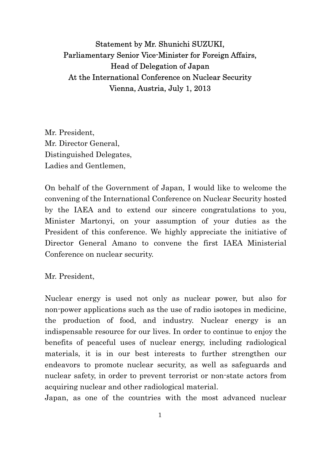## Statement by Mr. Shunichi SUZUKI, Parliamentary Senior Vice-Minister for Foreign Affairs, Head of Delegation of Japan At the International Conference on Nuclear Security Vienna, Austria, July 1, 2013

Mr. President, Mr. Director General, Distinguished Delegates, Ladies and Gentlemen,

On behalf of the Government of Japan, I would like to welcome the convening of the International Conference on Nuclear Security hosted by the IAEA and to extend our sincere congratulations to you, Minister Martonyi, on your assumption of your duties as the President of this conference. We highly appreciate the initiative of Director General Amano to convene the first IAEA Ministerial Conference on nuclear security.

Mr. President,

Nuclear energy is used not only as nuclear power, but also for non-power applications such as the use of radio isotopes in medicine, the production of food, and industry. Nuclear energy is an indispensable resource for our lives. In order to continue to enjoy the benefits of peaceful uses of nuclear energy, including radiological materials, it is in our best interests to further strengthen our endeavors to promote nuclear security, as well as safeguards and nuclear safety, in order to prevent terrorist or non-state actors from acquiring nuclear and other radiological material.

Japan, as one of the countries with the most advanced nuclear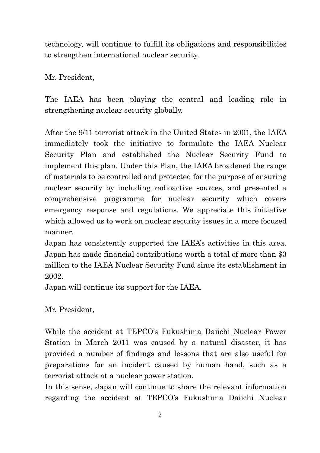technology, will continue to fulfill its obligations and responsibilities to strengthen international nuclear security.

Mr. President,

The IAEA has been playing the central and leading role in strengthening nuclear security globally.

After the 9/11 terrorist attack in the United States in 2001, the IAEA immediately took the initiative to formulate the IAEA Nuclear Security Plan and established the Nuclear Security Fund to implement this plan. Under this Plan, the IAEA broadened the range of materials to be controlled and protected for the purpose of ensuring nuclear security by including radioactive sources, and presented a comprehensive programme for nuclear security which covers emergency response and regulations. We appreciate this initiative which allowed us to work on nuclear security issues in a more focused manner.

Japan has consistently supported the IAEA's activities in this area. Japan has made financial contributions worth a total of more than \$3 million to the IAEA Nuclear Security Fund since its establishment in 2002.

Japan will continue its support for the IAEA.

Mr. President,

While the accident at TEPCO's Fukushima Daiichi Nuclear Power Station in March 2011 was caused by a natural disaster, it has provided a number of findings and lessons that are also useful for preparations for an incident caused by human hand, such as a terrorist attack at a nuclear power station.

In this sense, Japan will continue to share the relevant information regarding the accident at TEPCO's Fukushima Daiichi Nuclear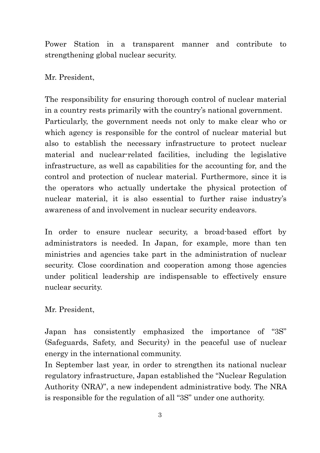Power Station in a transparent manner and contribute to strengthening global nuclear security.

Mr. President,

The responsibility for ensuring thorough control of nuclear material in a country rests primarily with the country's national government. Particularly, the government needs not only to make clear who or which agency is responsible for the control of nuclear material but also to establish the necessary infrastructure to protect nuclear material and nuclear-related facilities, including the legislative infrastructure, as well as capabilities for the accounting for, and the control and protection of nuclear material. Furthermore, since it is the operators who actually undertake the physical protection of nuclear material, it is also essential to further raise industry's awareness of and involvement in nuclear security endeavors.

In order to ensure nuclear security, a broad-based effort by administrators is needed. In Japan, for example, more than ten ministries and agencies take part in the administration of nuclear security. Close coordination and cooperation among those agencies under political leadership are indispensable to effectively ensure nuclear security.

Mr. President,

Japan has consistently emphasized the importance of "3S" (Safeguards, Safety, and Security) in the peaceful use of nuclear energy in the international community.

In September last year, in order to strengthen its national nuclear regulatory infrastructure, Japan established the "Nuclear Regulation Authority (NRA)", a new independent administrative body. The NRA is responsible for the regulation of all "3S" under one authority.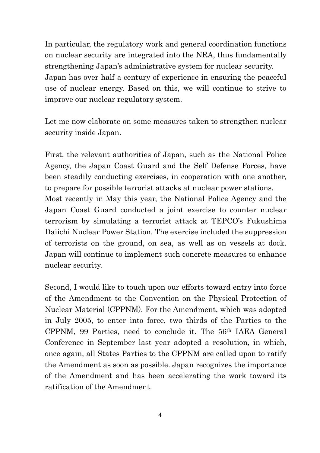In particular, the regulatory work and general coordination functions on nuclear security are integrated into the NRA, thus fundamentally strengthening Japan's administrative system for nuclear security. Japan has over half a century of experience in ensuring the peaceful use of nuclear energy. Based on this, we will continue to strive to improve our nuclear regulatory system.

Let me now elaborate on some measures taken to strengthen nuclear security inside Japan.

First, the relevant authorities of Japan, such as the National Police Agency, the Japan Coast Guard and the Self Defense Forces, have been steadily conducting exercises, in cooperation with one another, to prepare for possible terrorist attacks at nuclear power stations.

Most recently in May this year, the National Police Agency and the Japan Coast Guard conducted a joint exercise to counter nuclear terrorism by simulating a terrorist attack at TEPCO's Fukushima Daiichi Nuclear Power Station. The exercise included the suppression of terrorists on the ground, on sea, as well as on vessels at dock. Japan will continue to implement such concrete measures to enhance nuclear security.

Second, I would like to touch upon our efforts toward entry into force of the Amendment to the Convention on the Physical Protection of Nuclear Material (CPPNM). For the Amendment, which was adopted in July 2005, to enter into force, two thirds of the Parties to the CPPNM, 99 Parties, need to conclude it. The 56th IAEA General Conference in September last year adopted a resolution, in which, once again, all States Parties to the CPPNM are called upon to ratify the Amendment as soon as possible. Japan recognizes the importance of the Amendment and has been accelerating the work toward its ratification of the Amendment.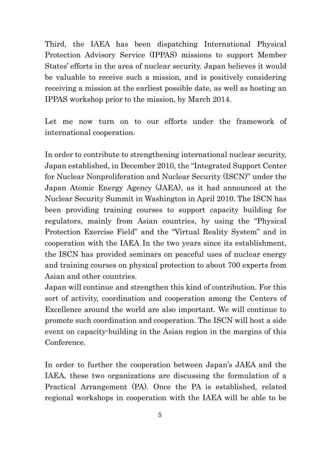Third, the IAEA has been dispatching International Physical Protection Advisory Service (IPPAS) missions to support Member States' efforts in the area of nuclear security. Japan believes it would be valuable to receive such a mission, and is positively considering receiving a mission at the earliest possible date, as well as hosting an IPPAS workshop prior to the mission, by March 2014.

Let me now turn on to our efforts under the framework of international cooperation.

In order to contribute to strengthening international nuclear security, Japan established, in December 2010, the "Integrated Support Center for Nuclear Nonproliferation and Nuclear Security (ISCN)" under the Japan Atomic Energy Agency (JAEA), as it had announced at the Nuclear Security Summit in Washington in April 2010. The ISCN has been providing training courses to support capacity building for regulators, mainly from Asian countries, by using the "Physical Protection Exercise Field" and the "Virtual Reality System" and in cooperation with the IAEA. In the two years since its establishment, the ISCN has provided seminars on peaceful uses of nuclear energy and training courses on physical protection to about 700 experts from Asian and other countries.

Japan will continue and strengthen this kind of contribution. For this sort of activity, coordination and cooperation among the Centers of Excellence around the world are also important. We will continue to promote such coordination and cooperation. The ISCN will host a side event on capacity-building in the Asian region in the margins of this Conference.

In order to further the cooperation between Japan's JAEA and the IAEA, these two organizations are discussing the formulation of a Practical Arrangement (PA). Once the PA is established, related regional workshops in cooperation with the IAEA will be able to be